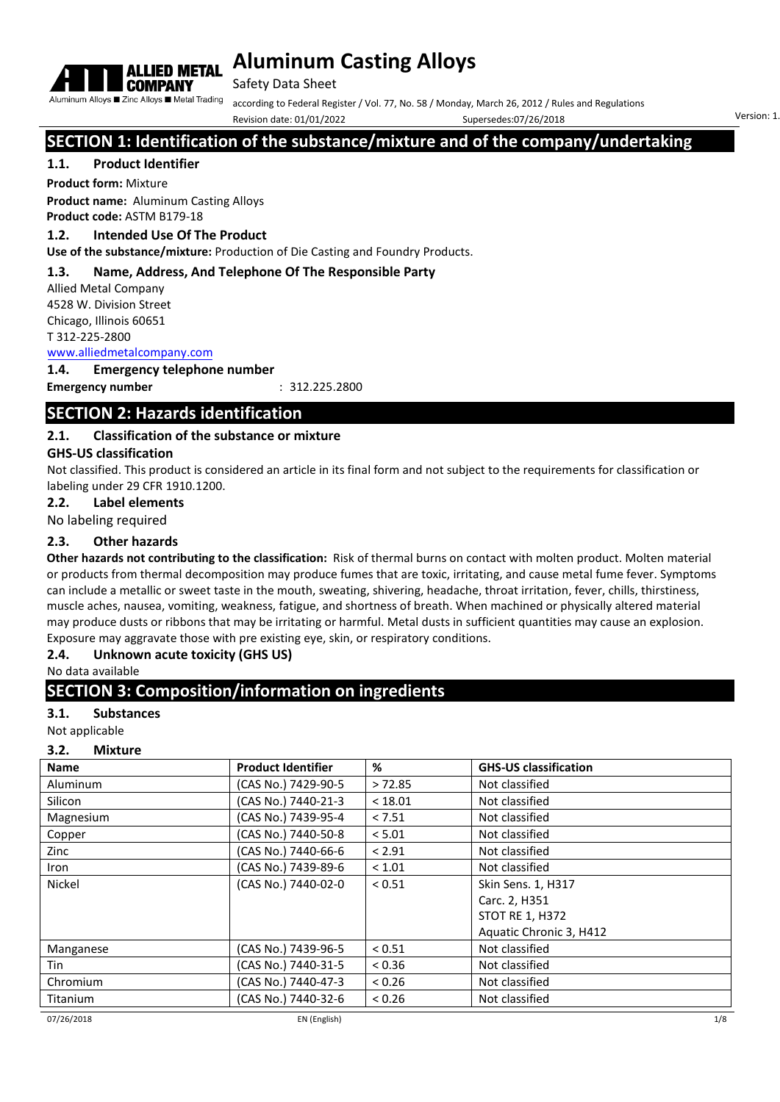

Safety Data Sheet

according to Federal Register / Vol. 77, No. 58 / Monday, March 26, 2012 / Rules and Regulations

Revision date: 01/01/2022 Supersedes:07/26/2018 Version: 1

# **SECTION 1: Identification of the substance/mixture and of the company/undertaking**

## **1.1. Product Identifier**

**Product form:** Mixture

**Product name:** Aluminum Casting Alloys **Product code:** ASTM B179-18

## **1.2. Intended Use Of The Product**

**Use of the substance/mixture:** Production of Die Casting and Foundry Products.

## **1.3. Name, Address, And Telephone Of The Responsible Party**

Allied Metal Company 4528 W. Division Street Chicago, Illinois 60651 T 312-225-2800

[www.alliedmetalcompany.com](http://alliedmetalcompany.com/)

#### **1.4. Emergency telephone number**

**Emergency number** : 312.225.2800

# **SECTION 2: Hazards identification**

## **2.1. Classification of the substance or mixture**

## **GHS-US classification**

Not classified. This product is considered an article in its final form and not subject to the requirements for classification or labeling under 29 CFR 1910.1200.

**2.2. Label elements**

No labeling required

## **2.3. Other hazards**

**Other hazards not contributing to the classification:** Risk of thermal burns on contact with molten product. Molten material or products from thermal decomposition may produce fumes that are toxic, irritating, and cause metal fume fever. Symptoms can include a metallic or sweet taste in the mouth, sweating, shivering, headache, throat irritation, fever, chills, thirstiness, muscle aches, nausea, vomiting, weakness, fatigue, and shortness of breath. When machined or physically altered material may produce dusts or ribbons that may be irritating or harmful. Metal dusts in sufficient quantities may cause an explosion. Exposure may aggravate those with pre existing eye, skin, or respiratory conditions.

## **2.4. Unknown acute toxicity (GHS US)**

No data available

## **SECTION 3: Composition/information on ingredients**

## **3.1. Substances**

Not applicable

## **3.2. Mixture**

| <b>Name</b> | <b>Product Identifier</b> | %       | <b>GHS-US classification</b> |
|-------------|---------------------------|---------|------------------------------|
| Aluminum    | (CAS No.) 7429-90-5       | >72.85  | Not classified               |
| Silicon     | (CAS No.) 7440-21-3       | < 18.01 | Not classified               |
| Magnesium   | (CAS No.) 7439-95-4       | < 7.51  | Not classified               |
| Copper      | (CAS No.) 7440-50-8       | < 5.01  | Not classified               |
| Zinc        | (CAS No.) 7440-66-6       | < 2.91  | Not classified               |
| Iron        | (CAS No.) 7439-89-6       | < 1.01  | Not classified               |
| Nickel      | (CAS No.) 7440-02-0       | < 0.51  | Skin Sens. 1, H317           |
|             |                           |         | Carc. 2, H351                |
|             |                           |         | <b>STOT RE 1, H372</b>       |
|             |                           |         | Aquatic Chronic 3, H412      |
| Manganese   | (CAS No.) 7439-96-5       | < 0.51  | Not classified               |
| Tin         | (CAS No.) 7440-31-5       | < 0.36  | Not classified               |
| Chromium    | (CAS No.) 7440-47-3       | < 0.26  | Not classified               |
| Titanium    | (CAS No.) 7440-32-6       | < 0.26  | Not classified               |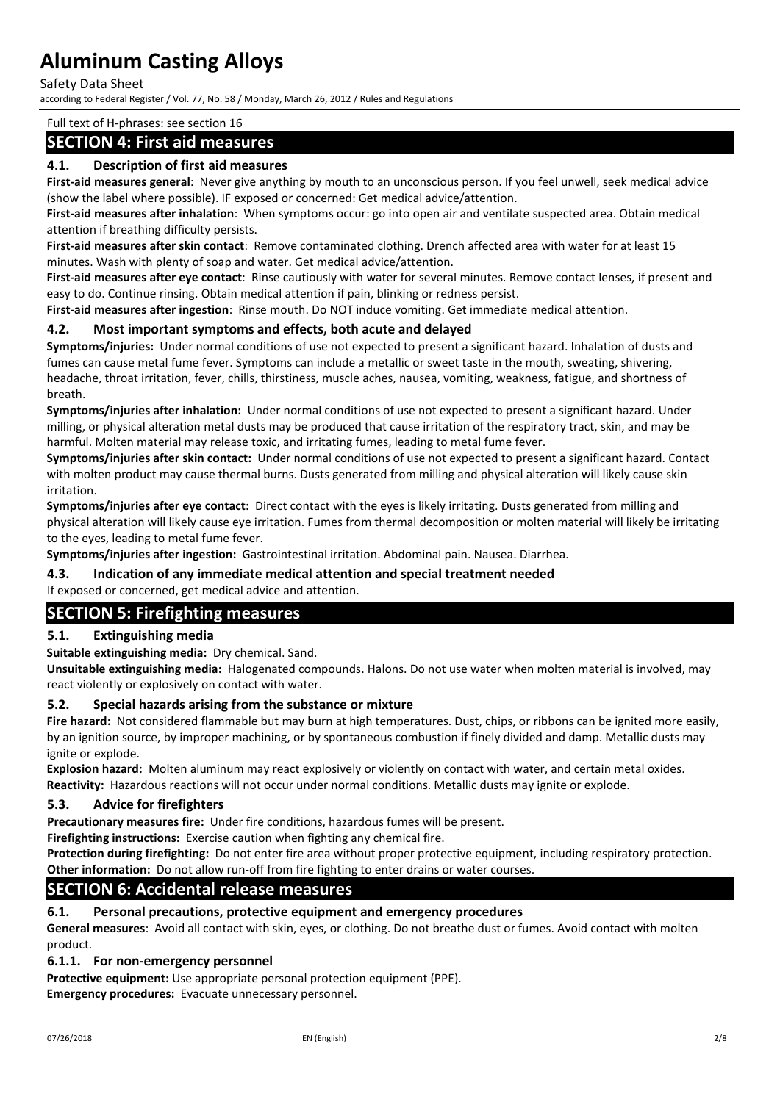#### Safety Data Sheet

according to Federal Register / Vol. 77, No. 58 / Monday, March 26, 2012 / Rules and Regulations

#### Full text of H-phrases: see section 16

## **SECTION 4: First aid measures**

#### **4.1. Description of first aid measures**

**First-aid measures general**: Never give anything by mouth to an unconscious person. If you feel unwell, seek medical advice (show the label where possible). IF exposed or concerned: Get medical advice/attention.

**First-aid measures after inhalation**: When symptoms occur: go into open air and ventilate suspected area. Obtain medical attention if breathing difficulty persists.

**First-aid measures after skin contact**: Remove contaminated clothing. Drench affected area with water for at least 15 minutes. Wash with plenty of soap and water. Get medical advice/attention.

**First-aid measures after eye contact**: Rinse cautiously with water for several minutes. Remove contact lenses, if present and easy to do. Continue rinsing. Obtain medical attention if pain, blinking or redness persist.

**First-aid measures after ingestion**: Rinse mouth. Do NOT induce vomiting. Get immediate medical attention.

#### **4.2. Most important symptoms and effects, both acute and delayed**

**Symptoms/injuries:** Under normal conditions of use not expected to present a significant hazard. Inhalation of dusts and fumes can cause metal fume fever. Symptoms can include a metallic or sweet taste in the mouth, sweating, shivering, headache, throat irritation, fever, chills, thirstiness, muscle aches, nausea, vomiting, weakness, fatigue, and shortness of breath.

**Symptoms/injuries after inhalation:** Under normal conditions of use not expected to present a significant hazard. Under milling, or physical alteration metal dusts may be produced that cause irritation of the respiratory tract, skin, and may be harmful. Molten material may release toxic, and irritating fumes, leading to metal fume fever.

**Symptoms/injuries after skin contact:** Under normal conditions of use not expected to present a significant hazard. Contact with molten product may cause thermal burns. Dusts generated from milling and physical alteration will likely cause skin irritation.

**Symptoms/injuries after eye contact:** Direct contact with the eyes is likely irritating. Dusts generated from milling and physical alteration will likely cause eye irritation. Fumes from thermal decomposition or molten material will likely be irritating to the eyes, leading to metal fume fever.

**Symptoms/injuries after ingestion:** Gastrointestinal irritation. Abdominal pain. Nausea. Diarrhea.

#### **4.3. Indication of any immediate medical attention and special treatment needed**

#### If exposed or concerned, get medical advice and attention.

## **SECTION 5: Firefighting measures**

#### **5.1. Extinguishing media**

**Suitable extinguishing media:** Dry chemical. Sand.

**Unsuitable extinguishing media:** Halogenated compounds. Halons. Do not use water when molten material is involved, may react violently or explosively on contact with water.

#### **5.2. Special hazards arising from the substance or mixture**

**Fire hazard:** Not considered flammable but may burn at high temperatures. Dust, chips, or ribbons can be ignited more easily, by an ignition source, by improper machining, or by spontaneous combustion if finely divided and damp. Metallic dusts may ignite or explode.

**Explosion hazard:** Molten aluminum may react explosively or violently on contact with water, and certain metal oxides. **Reactivity:** Hazardous reactions will not occur under normal conditions. Metallic dusts may ignite or explode.

#### **5.3. Advice for firefighters**

**Precautionary measures fire:** Under fire conditions, hazardous fumes will be present.

**Firefighting instructions:** Exercise caution when fighting any chemical fire.

**Protection during firefighting:** Do not enter fire area without proper protective equipment, including respiratory protection. **Other information:** Do not allow run-off from fire fighting to enter drains or water courses.

## **SECTION 6: Accidental release measures**

#### **6.1. Personal precautions, protective equipment and emergency procedures**

**General measures**: Avoid all contact with skin, eyes, or clothing. Do not breathe dust or fumes. Avoid contact with molten product.

#### **6.1.1. For non-emergency personnel**

**Protective equipment:** Use appropriate personal protection equipment (PPE). **Emergency procedures:** Evacuate unnecessary personnel.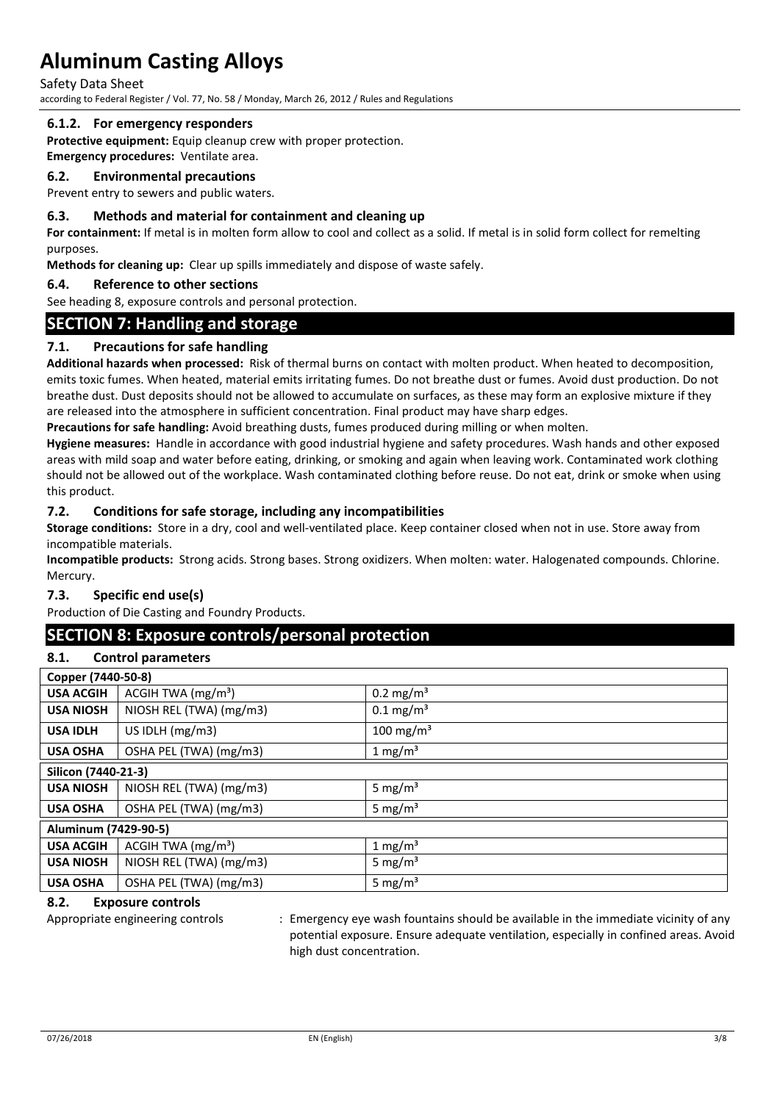Safety Data Sheet

according to Federal Register / Vol. 77, No. 58 / Monday, March 26, 2012 / Rules and Regulations

#### **6.1.2. For emergency responders**

**Protective equipment:** Equip cleanup crew with proper protection.

#### **Emergency procedures:** Ventilate area. **6.2. Environmental precautions**

Prevent entry to sewers and public waters.

#### **6.3. Methods and material for containment and cleaning up**

**For containment:** If metal is in molten form allow to cool and collect as a solid. If metal is in solid form collect for remelting purposes.

**Methods for cleaning up:** Clear up spills immediately and dispose of waste safely.

#### **6.4. Reference to other sections**

See heading 8, exposure controls and personal protection.

## **SECTION 7: Handling and storage**

## **7.1. Precautions for safe handling**

**Additional hazards when processed:** Risk of thermal burns on contact with molten product. When heated to decomposition, emits toxic fumes. When heated, material emits irritating fumes. Do not breathe dust or fumes. Avoid dust production. Do not breathe dust. Dust deposits should not be allowed to accumulate on surfaces, as these may form an explosive mixture if they are released into the atmosphere in sufficient concentration. Final product may have sharp edges.

**Precautions for safe handling:** Avoid breathing dusts, fumes produced during milling or when molten.

**Hygiene measures:** Handle in accordance with good industrial hygiene and safety procedures. Wash hands and other exposed areas with mild soap and water before eating, drinking, or smoking and again when leaving work. Contaminated work clothing should not be allowed out of the workplace. Wash contaminated clothing before reuse. Do not eat, drink or smoke when using this product.

#### **7.2. Conditions for safe storage, including any incompatibilities**

**Storage conditions:** Store in a dry, cool and well-ventilated place. Keep container closed when not in use. Store away from incompatible materials.

**Incompatible products:** Strong acids. Strong bases. Strong oxidizers. When molten: water. Halogenated compounds. Chlorine. Mercury.

#### **7.3. Specific end use(s)**

Production of Die Casting and Foundry Products.

## **SECTION 8: Exposure controls/personal protection**

### **8.1. Control parameters**

| Copper (7440-50-8)   |                         |                         |
|----------------------|-------------------------|-------------------------|
| <b>USA ACGIH</b>     | ACGIH TWA $(mg/m3)$     | $0.2 \text{ mg/m}^3$    |
| <b>USA NIOSH</b>     | NIOSH REL (TWA) (mg/m3) | $0.1 \,\mathrm{mg/m^3}$ |
| <b>USA IDLH</b>      | US IDLH (mg/m3)         | 100 mg/m <sup>3</sup>   |
| <b>USA OSHA</b>      | OSHA PEL (TWA) (mg/m3)  | 1 mg/m <sup>3</sup>     |
| Silicon (7440-21-3)  |                         |                         |
| <b>USA NIOSH</b>     | NIOSH REL (TWA) (mg/m3) | 5 mg/ $m3$              |
| <b>USA OSHA</b>      | OSHA PEL (TWA) (mg/m3)  | 5 mg/ $m3$              |
| Aluminum (7429-90-5) |                         |                         |
| <b>USA ACGIH</b>     | ACGIH TWA $(mg/m3)$     | 1 mg/m <sup>3</sup>     |
| <b>USA NIOSH</b>     | NIOSH REL (TWA) (mg/m3) | 5 mg/ $m3$              |
| <b>USA OSHA</b>      | OSHA PEL (TWA) (mg/m3)  | 5 mg/m <sup>3</sup>     |

## **8.2. Exposure controls**

Appropriate engineering controls : Emergency eye wash fountains should be available in the immediate vicinity of any potential exposure. Ensure adequate ventilation, especially in confined areas. Avoid high dust concentration.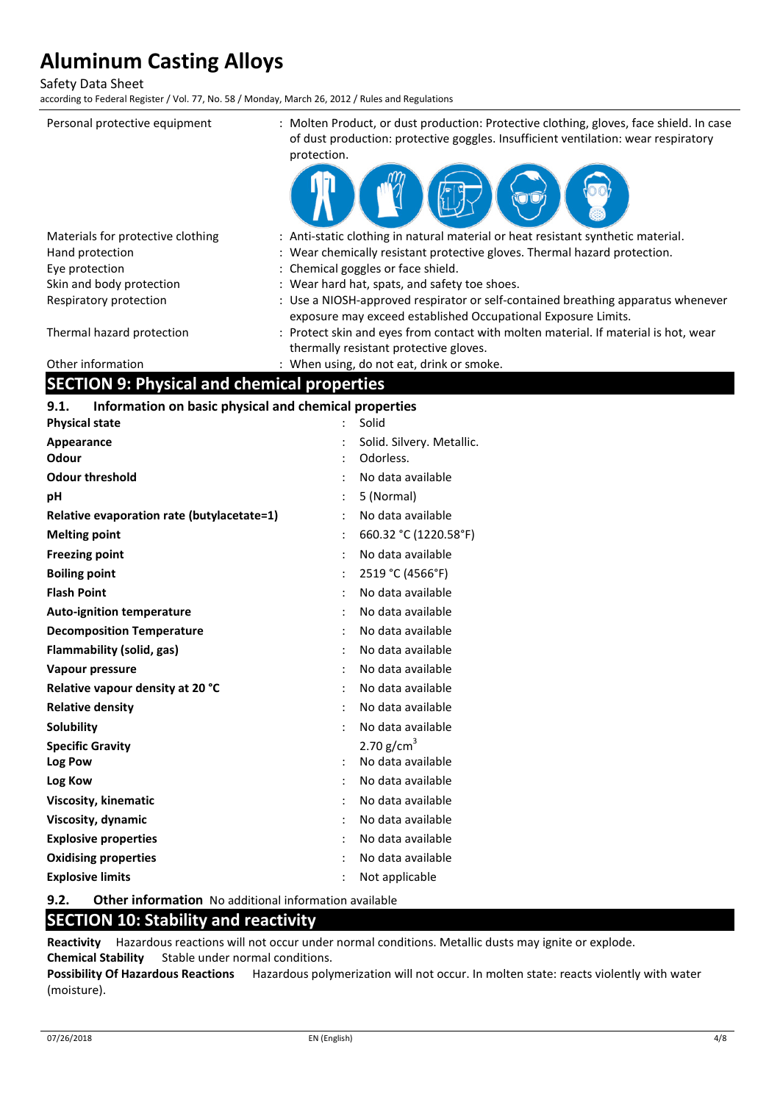Safety Data Sheet

according to Federal Register / Vol. 77, No. 58 / Monday, March 26, 2012 / Rules and Regulations

| Personal protective equipment                                 | : Molten Product, or dust production: Protective clothing, gloves, face shield. In case<br>of dust production: protective goggles. Insufficient ventilation: wear respiratory<br>protection. |
|---------------------------------------------------------------|----------------------------------------------------------------------------------------------------------------------------------------------------------------------------------------------|
|                                                               |                                                                                                                                                                                              |
| Materials for protective clothing                             | : Anti-static clothing in natural material or heat resistant synthetic material.                                                                                                             |
| Hand protection                                               | Wear chemically resistant protective gloves. Thermal hazard protection.                                                                                                                      |
| Eye protection<br>Skin and body protection                    | Chemical goggles or face shield.<br>Wear hard hat, spats, and safety toe shoes.                                                                                                              |
| Respiratory protection                                        | : Use a NIOSH-approved respirator or self-contained breathing apparatus whenever                                                                                                             |
|                                                               | exposure may exceed established Occupational Exposure Limits.                                                                                                                                |
| Thermal hazard protection                                     | : Protect skin and eyes from contact with molten material. If material is hot, wear                                                                                                          |
|                                                               | thermally resistant protective gloves.                                                                                                                                                       |
| Other information                                             | : When using, do not eat, drink or smoke.                                                                                                                                                    |
| <b>SECTION 9: Physical and chemical properties</b>            |                                                                                                                                                                                              |
| Information on basic physical and chemical properties<br>9.1. |                                                                                                                                                                                              |
| <b>Physical state</b>                                         | Solid                                                                                                                                                                                        |
| Appearance                                                    | Solid. Silvery. Metallic.                                                                                                                                                                    |
| Odour                                                         | Odorless.                                                                                                                                                                                    |
| <b>Odour threshold</b>                                        | No data available                                                                                                                                                                            |
| pН                                                            | 5 (Normal)                                                                                                                                                                                   |
| Relative evaporation rate (butylacetate=1)                    | No data available                                                                                                                                                                            |
| <b>Melting point</b>                                          | 660.32 °C (1220.58°F)                                                                                                                                                                        |
| <b>Freezing point</b>                                         | No data available                                                                                                                                                                            |
| <b>Boiling point</b>                                          | 2519 °C (4566°F)                                                                                                                                                                             |
| <b>Flash Point</b>                                            | No data available                                                                                                                                                                            |
| <b>Auto-ignition temperature</b>                              | No data available                                                                                                                                                                            |
| <b>Decomposition Temperature</b>                              | No data available                                                                                                                                                                            |
| <b>Flammability (solid, gas)</b>                              | No data available                                                                                                                                                                            |
| Vapour pressure                                               | No data available                                                                                                                                                                            |
| Relative vapour density at 20 °C                              | No data available                                                                                                                                                                            |
| <b>Relative density</b>                                       | No data available                                                                                                                                                                            |
| <b>Solubility</b>                                             | No data available                                                                                                                                                                            |
| <b>Specific Gravity</b>                                       | 2.70 $g/cm^{3}$                                                                                                                                                                              |
| Log Pow                                                       | No data available                                                                                                                                                                            |
| Log Kow                                                       | No data available                                                                                                                                                                            |
| Viscosity, kinematic                                          | No data available                                                                                                                                                                            |
| Viscosity, dynamic                                            | No data available                                                                                                                                                                            |
| <b>Explosive properties</b>                                   | No data available                                                                                                                                                                            |
| <b>Oxidising properties</b>                                   | No data available                                                                                                                                                                            |
| <b>Explosive limits</b>                                       | Not applicable                                                                                                                                                                               |

**9.2. Other information** No additional information available

## **SECTION 10: Stability and reactivity**

**Reactivity** Hazardous reactions will not occur under normal conditions. Metallic dusts may ignite or explode. **Chemical Stability** Stable under normal conditions.

**Possibility Of Hazardous Reactions** Hazardous polymerization will not occur. In molten state: reacts violently with water (moisture).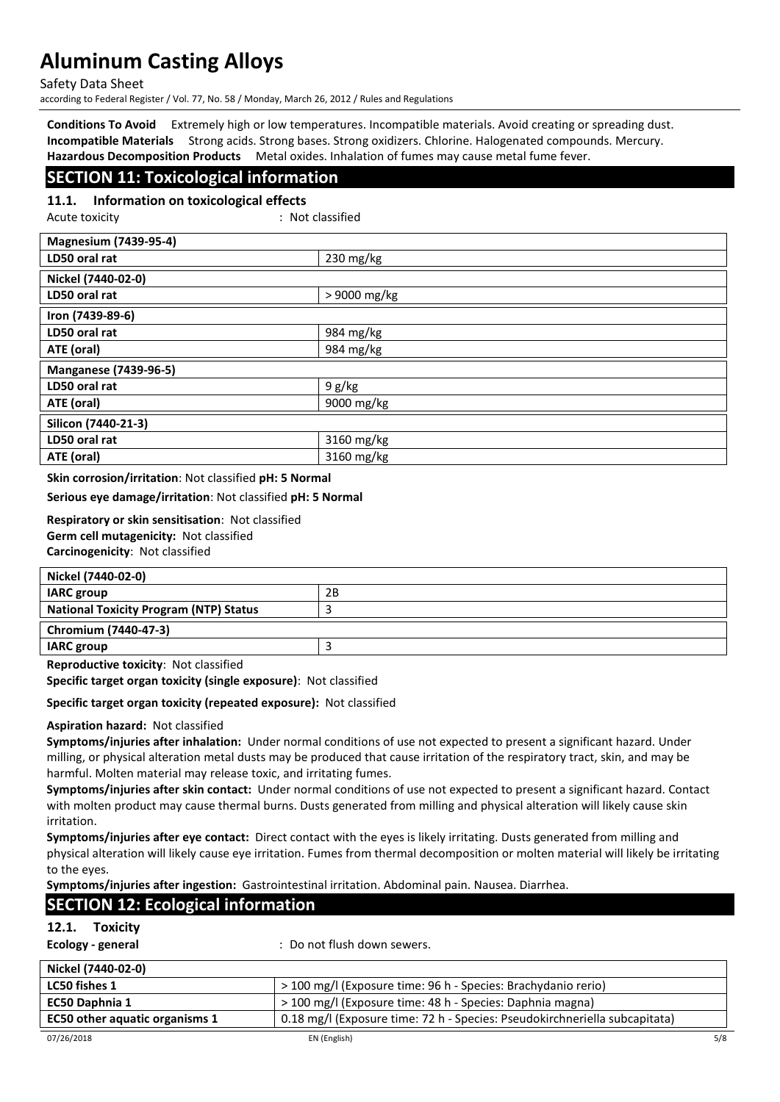Safety Data Sheet

according to Federal Register / Vol. 77, No. 58 / Monday, March 26, 2012 / Rules and Regulations

**Conditions To Avoid** Extremely high or low temperatures. Incompatible materials. Avoid creating or spreading dust. **Incompatible Materials** Strong acids. Strong bases. Strong oxidizers. Chlorine. Halogenated compounds. Mercury. **Hazardous Decomposition Products** Metal oxides. Inhalation of fumes may cause metal fume fever.

## **SECTION 11: Toxicological information**

**11.1. Information on toxicological effects**

Acute toxicity in the contract of the contract of the contract of the contract of the contract of the contract of the contract of the contract of the contract of the contract of the contract of the contract of the contract

| <b>Magnesium (7439-95-4)</b> |              |
|------------------------------|--------------|
| LD50 oral rat                | 230 mg/kg    |
| Nickel (7440-02-0)           |              |
| LD50 oral rat                | > 9000 mg/kg |
| Iron (7439-89-6)             |              |
| LD50 oral rat                | 984 mg/kg    |
| ATE (oral)                   | 984 mg/kg    |
| <b>Manganese (7439-96-5)</b> |              |
| LD50 oral rat                | 9 g/kg       |
| ATE (oral)                   | 9000 mg/kg   |
| Silicon (7440-21-3)          |              |
| LD50 oral rat                | 3160 mg/kg   |
| ATE (oral)                   | 3160 mg/kg   |

**Skin corrosion/irritation**: Not classified **pH: 5 Normal**

**Serious eye damage/irritation**: Not classified **pH: 5 Normal**

**Respiratory or skin sensitisation**: Not classified **Germ cell mutagenicity:** Not classified **Carcinogenicity**: Not classified

| Nickel (7440-02-0)                            |    |
|-----------------------------------------------|----|
| <b>IARC</b> group                             | 2Β |
| <b>National Toxicity Program (NTP) Status</b> |    |
| Chromium (7440-47-3)                          |    |
| <b>IARC</b> group                             |    |

**Reproductive toxicity**: Not classified

**Specific target organ toxicity (single exposure)**: Not classified

**Specific target organ toxicity (repeated exposure):** Not classified

#### **Aspiration hazard:** Not classified

**Symptoms/injuries after inhalation:** Under normal conditions of use not expected to present a significant hazard. Under milling, or physical alteration metal dusts may be produced that cause irritation of the respiratory tract, skin, and may be harmful. Molten material may release toxic, and irritating fumes.

**Symptoms/injuries after skin contact:** Under normal conditions of use not expected to present a significant hazard. Contact with molten product may cause thermal burns. Dusts generated from milling and physical alteration will likely cause skin irritation.

**Symptoms/injuries after eye contact:** Direct contact with the eyes is likely irritating. Dusts generated from milling and physical alteration will likely cause eye irritation. Fumes from thermal decomposition or molten material will likely be irritating to the eyes.

**Symptoms/injuries after ingestion:** Gastrointestinal irritation. Abdominal pain. Nausea. Diarrhea.

## **SECTION 12: Ecological information**

## **12.1. Toxicity**

| Ecology - general |  |
|-------------------|--|
|-------------------|--|

**Ecology - general** : Do not flush down sewers.

| Nickel (7440-02-0)                    |                                                                            |     |
|---------------------------------------|----------------------------------------------------------------------------|-----|
| <b>LC50 fishes 1</b>                  | > 100 mg/l (Exposure time: 96 h - Species: Brachydanio rerio)              |     |
| <b>EC50 Daphnia 1</b>                 | > 100 mg/l (Exposure time: 48 h - Species: Daphnia magna)                  |     |
| <b>EC50 other aquatic organisms 1</b> | 0.18 mg/l (Exposure time: 72 h - Species: Pseudokirchneriella subcapitata) |     |
| 07/26/2018                            | EN (English)                                                               | 5/8 |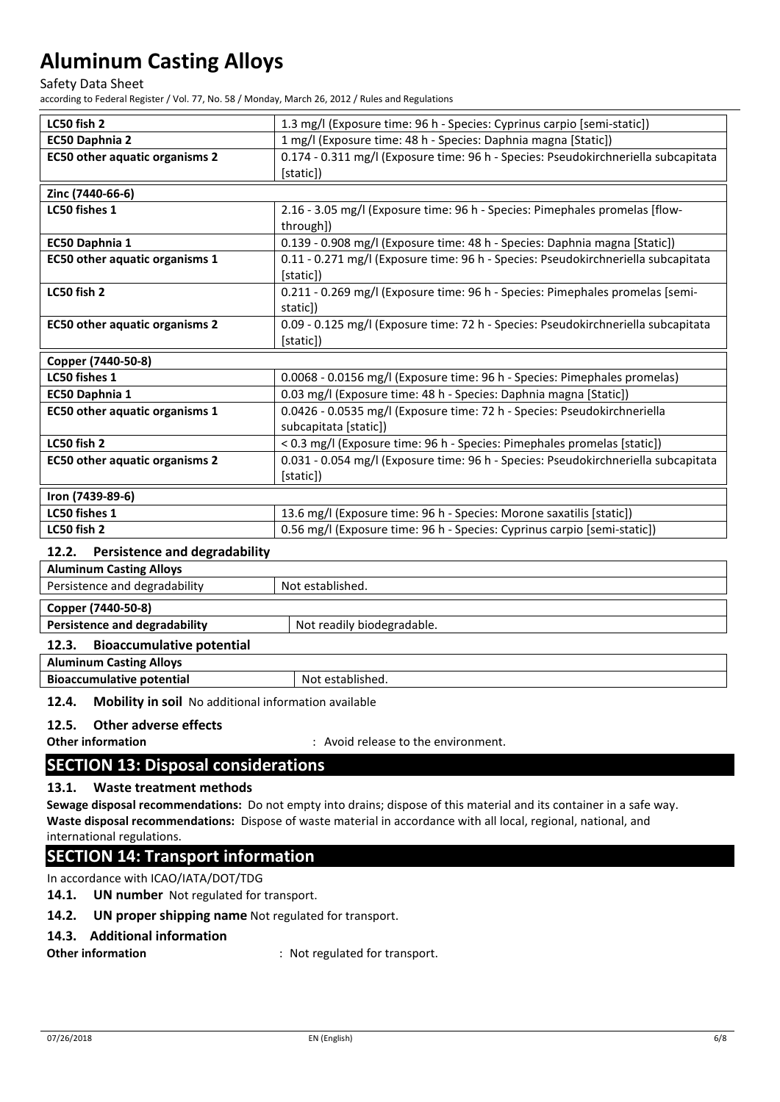Safety Data Sheet

according to Federal Register / Vol. 77, No. 58 / Monday, March 26, 2012 / Rules and Regulations

| LC50 fish 2                           | 1.3 mg/l (Exposure time: 96 h - Species: Cyprinus carpio [semi-static])            |
|---------------------------------------|------------------------------------------------------------------------------------|
| EC50 Daphnia 2                        | 1 mg/l (Exposure time: 48 h - Species: Daphnia magna [Static])                     |
| <b>EC50 other aquatic organisms 2</b> | 0.174 - 0.311 mg/l (Exposure time: 96 h - Species: Pseudokirchneriella subcapitata |
|                                       | [static])                                                                          |
| Zinc (7440-66-6)                      |                                                                                    |
| LC50 fishes 1                         | 2.16 - 3.05 mg/l (Exposure time: 96 h - Species: Pimephales promelas [flow-        |
|                                       | through])                                                                          |
| EC50 Daphnia 1                        | 0.139 - 0.908 mg/l (Exposure time: 48 h - Species: Daphnia magna [Static])         |
| <b>EC50 other aquatic organisms 1</b> | 0.11 - 0.271 mg/l (Exposure time: 96 h - Species: Pseudokirchneriella subcapitata  |
|                                       | [static])                                                                          |
| LC50 fish 2                           | 0.211 - 0.269 mg/l (Exposure time: 96 h - Species: Pimephales promelas [semi-      |
|                                       | staticl)                                                                           |
| <b>EC50 other aquatic organisms 2</b> | 0.09 - 0.125 mg/l (Exposure time: 72 h - Species: Pseudokirchneriella subcapitata  |
|                                       | [static])                                                                          |
| Copper (7440-50-8)                    |                                                                                    |
| LC50 fishes 1                         | 0.0068 - 0.0156 mg/l (Exposure time: 96 h - Species: Pimephales promelas)          |
| EC50 Daphnia 1                        | 0.03 mg/l (Exposure time: 48 h - Species: Daphnia magna [Static])                  |
| <b>EC50 other aquatic organisms 1</b> | 0.0426 - 0.0535 mg/l (Exposure time: 72 h - Species: Pseudokirchneriella           |
|                                       | subcapitata [static])                                                              |
| LC50 fish 2                           | < 0.3 mg/l (Exposure time: 96 h - Species: Pimephales promelas [static])           |
| <b>EC50 other aquatic organisms 2</b> | 0.031 - 0.054 mg/l (Exposure time: 96 h - Species: Pseudokirchneriella subcapitata |
|                                       | [static])                                                                          |
| Iron (7439-89-6)                      |                                                                                    |
| LC50 fishes 1                         | 13.6 mg/l (Exposure time: 96 h - Species: Morone saxatilis [static])               |
| LC50 fish 2                           | 0.56 mg/l (Exposure time: 96 h - Species: Cyprinus carpio [semi-static])           |
| .                                     |                                                                                    |

## **12.2. Persistence and degradability**

| <b>Aluminum Casting Alloys</b>            |                            |
|-------------------------------------------|----------------------------|
| Persistence and degradability             | Not established.           |
| Copper (7440-50-8)                        |                            |
| <b>Persistence and degradability</b>      | Not readily biodegradable. |
| <b>Bioaccumulative potential</b><br>12.3. |                            |
| <b>Aluminum Casting Alloys</b>            |                            |
| <b>Bioaccumulative potential</b>          | Not established.           |

**12.4. Mobility in soil** No additional information available

### **12.5. Other adverse effects**

**Other information included**  $\cdots$  **:** Avoid release to the environment.

## **SECTION 13: Disposal considerations**

#### **13.1. Waste treatment methods**

**Sewage disposal recommendations:** Do not empty into drains; dispose of this material and its container in a safe way. **Waste disposal recommendations:** Dispose of waste material in accordance with all local, regional, national, and international regulations.

## **SECTION 14: Transport information**

In accordance with ICAO/IATA/DOT/TDG

## **14.1. UN number** Not regulated for transport.

#### **14.2. UN proper shipping name** Not regulated for transport.

### **14.3. Additional information**

**Other information** : Not regulated for transport.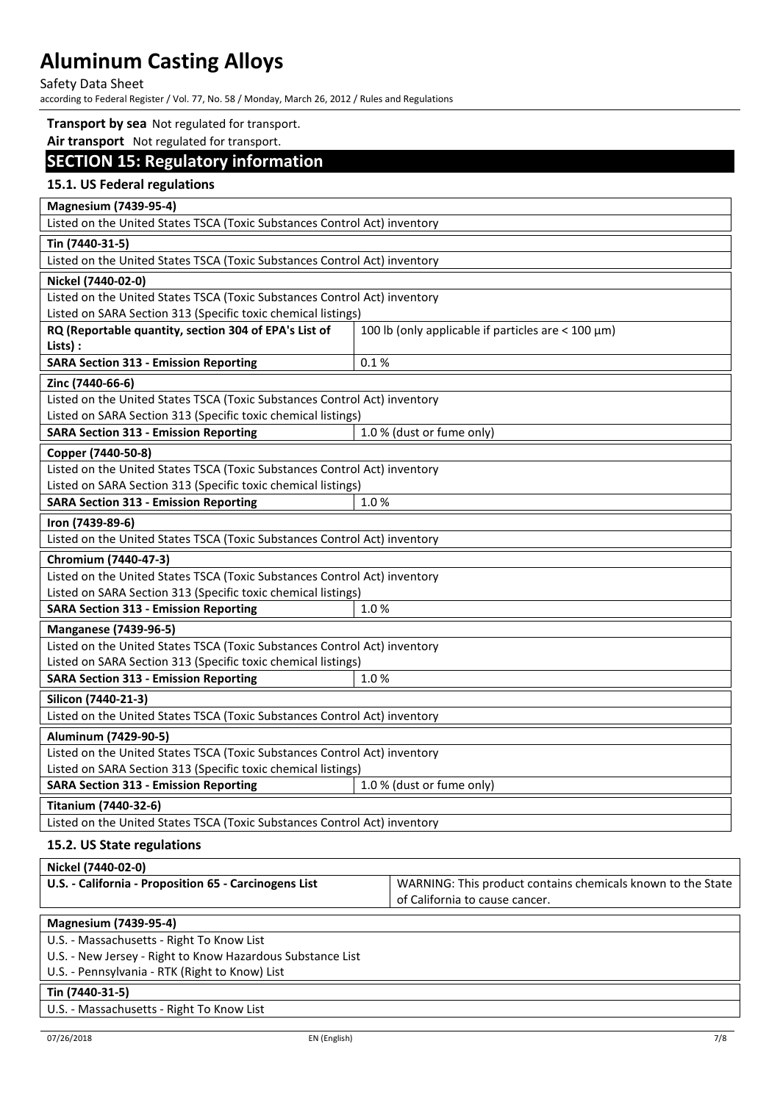Safety Data Sheet

according to Federal Register / Vol. 77, No. 58 / Monday, March 26, 2012 / Rules and Regulations

#### **Transport by sea** Not regulated for transport.

**Air transport** Not regulated for transport.

# **SECTION 15: Regulatory information**

## **15.1. US Federal regulations**

| Listed on the United States TSCA (Toxic Substances Control Act) inventory<br>Tin (7440-31-5)<br>Listed on the United States TSCA (Toxic Substances Control Act) inventory<br>Nickel (7440-02-0)<br>Listed on the United States TSCA (Toxic Substances Control Act) inventory |  |  |
|------------------------------------------------------------------------------------------------------------------------------------------------------------------------------------------------------------------------------------------------------------------------------|--|--|
|                                                                                                                                                                                                                                                                              |  |  |
|                                                                                                                                                                                                                                                                              |  |  |
|                                                                                                                                                                                                                                                                              |  |  |
|                                                                                                                                                                                                                                                                              |  |  |
|                                                                                                                                                                                                                                                                              |  |  |
| Listed on SARA Section 313 (Specific toxic chemical listings)                                                                                                                                                                                                                |  |  |
| RQ (Reportable quantity, section 304 of EPA's List of<br>100 lb (only applicable if particles are $<$ 100 $\mu$ m)                                                                                                                                                           |  |  |
| Lists) :                                                                                                                                                                                                                                                                     |  |  |
| <b>SARA Section 313 - Emission Reporting</b><br>0.1%                                                                                                                                                                                                                         |  |  |
| Zinc (7440-66-6)                                                                                                                                                                                                                                                             |  |  |
| Listed on the United States TSCA (Toxic Substances Control Act) inventory                                                                                                                                                                                                    |  |  |
| Listed on SARA Section 313 (Specific toxic chemical listings)                                                                                                                                                                                                                |  |  |
| <b>SARA Section 313 - Emission Reporting</b><br>1.0 % (dust or fume only)                                                                                                                                                                                                    |  |  |
| Copper (7440-50-8)                                                                                                                                                                                                                                                           |  |  |
| Listed on the United States TSCA (Toxic Substances Control Act) inventory                                                                                                                                                                                                    |  |  |
| Listed on SARA Section 313 (Specific toxic chemical listings)                                                                                                                                                                                                                |  |  |
| <b>SARA Section 313 - Emission Reporting</b><br>1.0%                                                                                                                                                                                                                         |  |  |
| Iron (7439-89-6)                                                                                                                                                                                                                                                             |  |  |
| Listed on the United States TSCA (Toxic Substances Control Act) inventory                                                                                                                                                                                                    |  |  |
| Chromium (7440-47-3)                                                                                                                                                                                                                                                         |  |  |
| Listed on the United States TSCA (Toxic Substances Control Act) inventory                                                                                                                                                                                                    |  |  |
| Listed on SARA Section 313 (Specific toxic chemical listings)                                                                                                                                                                                                                |  |  |
| <b>SARA Section 313 - Emission Reporting</b><br>1.0%                                                                                                                                                                                                                         |  |  |
| <b>Manganese (7439-96-5)</b>                                                                                                                                                                                                                                                 |  |  |
| Listed on the United States TSCA (Toxic Substances Control Act) inventory                                                                                                                                                                                                    |  |  |
| Listed on SARA Section 313 (Specific toxic chemical listings)                                                                                                                                                                                                                |  |  |
| <b>SARA Section 313 - Emission Reporting</b><br>1.0%                                                                                                                                                                                                                         |  |  |
| Silicon (7440-21-3)                                                                                                                                                                                                                                                          |  |  |
| Listed on the United States TSCA (Toxic Substances Control Act) inventory                                                                                                                                                                                                    |  |  |
| Aluminum (7429-90-5)                                                                                                                                                                                                                                                         |  |  |
| Listed on the United States TSCA (Toxic Substances Control Act) inventory                                                                                                                                                                                                    |  |  |
| Listed on SARA Section 313 (Specific toxic chemical listings)                                                                                                                                                                                                                |  |  |
| <b>SARA Section 313 - Emission Reporting</b><br>1.0 % (dust or fume only)                                                                                                                                                                                                    |  |  |
| Titanium (7440-32-6)                                                                                                                                                                                                                                                         |  |  |
| Listed on the United States TSCA (Toxic Substances Control Act) inventory                                                                                                                                                                                                    |  |  |
| 15.2. US State regulations                                                                                                                                                                                                                                                   |  |  |
| Nickel (7440-02-0)                                                                                                                                                                                                                                                           |  |  |

| U.S. - California - Proposition 65 - Carcinogens List | WARNING: This product contains chemicals known to the State |
|-------------------------------------------------------|-------------------------------------------------------------|
|                                                       | of California to cause cancer.                              |

**Magnesium (7439-95-4)**

U.S. - Massachusetts - Right To Know List

U.S. - New Jersey - Right to Know Hazardous Substance List

U.S. - Pennsylvania - RTK (Right to Know) List

#### **Tin (7440-31-5)**

U.S. - Massachusetts - Right To Know List